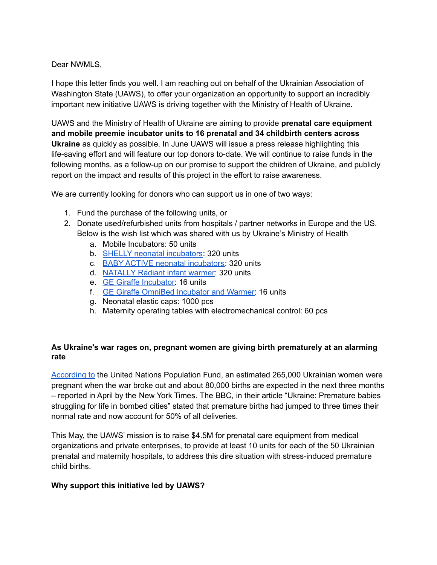#### Dear NWMLS,

I hope this letter finds you well. I am reaching out on behalf of the Ukrainian [Association](https://uaws.org/) of [Washington](https://uaws.org/) State (UAWS), to offer your organization an opportunity to support an incredibly important new initiative UAWS is driving together with the [Ministry](https://en.moz.gov.ua/) of Health of Ukraine.

UAWS and the Ministry of Health of Ukraine are aiming to provide **prenatal care equipment and mobile preemie incubator units to 16 prenatal and 34 childbirth centers across Ukraine** as quickly as possible. In June UAWS will issue a press release highlighting this life-saving effort and will feature our top donors to-date. We will continue to raise funds in the following months, as a follow-up on our promise to support the children of Ukraine, and publicly report on the impact and results of this project in the effort to raise awareness.

We are currently looking for donors who can support us in one of two ways:

- 1. Fund the purchase of the following units, or
- 2. Donate used/refurbished units from hospitals / partner networks in Europe and the US. Below is the wish list which was shared with us by Ukraine's Ministry of Health
	- a. Mobile Incubators: 50 units
	- b. SHELLY neonatal [incubators](https://www.tse-medical.cz/shelly-en/): 320 units
	- c. BABY ACTIVE neonatal [incubators](https://www.medicalexpo.com/prod/tse-spol-s-ro/product-77502-473004.html): 320 units
	- d. [NATALLY](https://www.activehealthcare.co.nz/products/paediatric-solutions/infant-warmers/natally-radiant-infant-warmer/) Radiant infant warmer: 320 units
	- e. GE Giraffe [Incubator:](https://avantehs.com/p/ge-giraffe-omnibed-incubator-and-warmer/1555) 16 units
	- f. GE Giraffe OmniBed [Incubator](https://avantehs.com/p/ge-giraffe-incubator/1568) and Warmer: 16 units
	- g. Neonatal elastic caps: 1000 pcs
	- h. Maternity operating tables with electromechanical control: 60 pcs

## **As Ukraine's war rages on, pregnant women are giving birth prematurely at an alarming rate**

[According](https://www.devex.com/news/unfpa-expects-unintended-pregnancies-in-ukraine-to-go-up-due-to-war-102950) to the United Nations Population Fund, an estimated 265,000 Ukrainian women were pregnant when the war broke out and about 80,000 births are expected in the next three months – reported in April by the New York [Times](https://www.nytimes.com/2022/04/07/world/europe/ukraine-mothers-birth.html). The BBC, in their article "Ukraine: [Premature](https://www.bbc.com/news/world-europe-60891846.amp) babies [struggling](https://www.bbc.com/news/world-europe-60891846.amp) for life in bombed cities" stated that premature births had jumped to three times their normal rate and now account for 50% of all deliveries.

This May, the UAWS' mission is to raise \$4.5M for prenatal care equipment from medical organizations and private enterprises, to provide at least 10 units for each of the 50 Ukrainian prenatal and maternity hospitals, to address this dire situation with stress-induced premature child births.

#### **Why support this initiative led by UAWS?**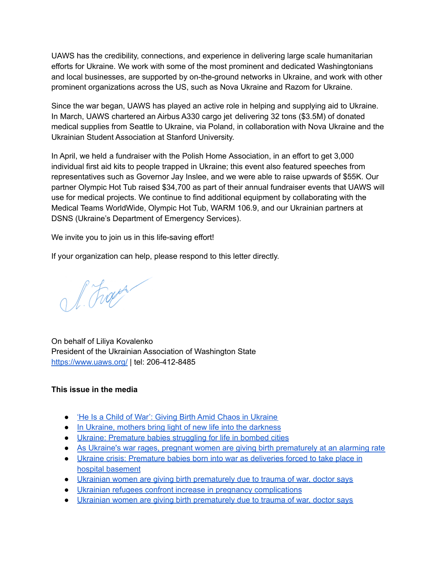UAWS has the credibility, connections, and experience in delivering large scale humanitarian efforts for Ukraine. We work with some of the most prominent and dedicated Washingtonians and local businesses, are supported by on-the-ground networks in Ukraine, and work with other prominent organizations across the US, such as Nova [Ukraine](https://novaukraine.org/) and Razom for [Ukraine](https://razomforukraine.org/).

Since the war began, UAWS has played an active role in helping and supplying aid to Ukraine. In March, UAWS chartered an Airbus A330 cargo jet [delivering](https://kuow.org/stories/32-tons-of-emergency-medical-supplies-heading-to-ukraine-from-seattle) 32 tons (\$3.5M) of donated medical [supplies](https://kuow.org/stories/32-tons-of-emergency-medical-supplies-heading-to-ukraine-from-seattle) from Seattle to Ukraine, via Poland, in collaboration with Nova Ukraine and the Ukrainian Student Association at Stanford University.

In April, we held a fundraiser with the Polish Home [Association,](https://www.kiro7.com/news/local/local-ukrainian-association-holds-fundraiser-people-trapped-ukraine/RRWWENORVBHIRBBHJL4FDW5T4Q/?fbclid=IwAR02PxUdrYTRJGckV9IcinbMFvuKUco51Or_BRGi2InXY7-RXewCYx4NS1w) in an effort to get 3,000 [individual](https://www.kiro7.com/news/local/local-ukrainian-association-holds-fundraiser-people-trapped-ukraine/RRWWENORVBHIRBBHJL4FDW5T4Q/?fbclid=IwAR02PxUdrYTRJGckV9IcinbMFvuKUco51Or_BRGi2InXY7-RXewCYx4NS1w) first aid kits to people trapped in Ukraine; this event also featured speeches from representatives such as Governor Jay Inslee, and we were able to raise upwards of \$55K. Our partner Olympic Hot Tub raised \$34,700 as part of their annual fundraiser events that UAWS will use for medical projects. We continue to find additional equipment by collaborating with the Medical Teams WorldWide, Olympic Hot Tub, WARM 106.9, and our Ukrainian partners at [DSNS](https://dsns.gov.ua/en/) (Ukraine's Department of Emergency Services).

We invite you to join us in this life-saving effort!

If your organization can help, please respond to this letter directly.

l. Frage

On behalf of Liliya Kovalenko President of the Ukrainian Association of Washington State <https://www.uaws.org/> | tel: 206-412-8485

## **This issue in the media**

- 'He Is a Child of War': Giving Birth Amid Chaos in [Ukraine](https://www.nytimes.com/2022/04/07/world/europe/ukraine-mothers-birth.html)
- In Ukraine, mothers bring light of new life into the [darkness](https://www.unicef.org/stories/ukraine-mothers-bring-light-new-life-darkness)
- Ukraine: [Premature](https://www.bbc.com/news/world-europe-60891846#:~:text=Prenatal%20clinics%20in%20both%20Kharkiv,just%20630g%20(1.4lbs).) babies struggling for life in bombed cities
- As Ukraine's war rages, pregnant women are giving birth [prematurely](https://www.abc.net.au/news/2022-04-13/premature-births-on-the-rise-in-ukraine-as-war-rages-on/100968686) at an alarming rate
- Ukraine crisis: [Premature](https://www.independent.co.uk/news/world/europe/ukraine-premature-babies-hospital-basement-b2027609.html) babies born into war as deliveries forced to take place in hospital [basement](https://www.independent.co.uk/news/world/europe/ukraine-premature-babies-hospital-basement-b2027609.html)
- Ukrainian women are giving birth [prematurely](https://inews.co.uk/news/ukrainian-women-giving-birth-prematurely-trauma-war-1599583) due to trauma of war, doctor says
- Ukrainian refugees confront increase in pregnancy [complications](https://www.nbcnews.com/news/world/ukrainian-refugees-confront-increase-pregnancy-complications-rcna25467)
- Ukrainian women are giving birth [prematurely](https://inews.co.uk/news/ukrainian-women-giving-birth-prematurely-trauma-war-1599583) due to trauma of war, doctor says